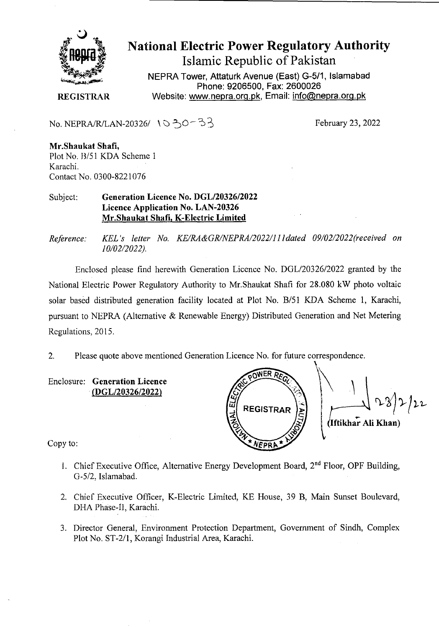

## National Electric Power Regulatory Authority Islamic Republic of Pakistan

**NEPRA Tower, Attaturk Avenue (East) G-5/1, Islamabad Phone: 9206500, Fax: 2600026 REGISTRAR** Website: www.nepra.org.pk, Email: info@nepra.org.pk

No. NEPRA/R/LAN-20326/  $\sqrt{0.50-3}$ 

**Mr.Shaukat Shafi,**  Plot No. B/51 KDA Scheme 1 Karachi. Contact No. 0300-8221076

Subject: **Generation Licence** No. *DGL/2032612022*  **Licence Application No.** LAN-20326 Mr.Shaukat **Shafi,** K**-Electric Limited** 

*Reference: KEL 's letter No. KE/RA&GRINEPRA/2022/11 I dated 09/02/2022('received on 10/02/2022).* 

Enclosed please find herewith Generation Licence No. DGL/20326/2022 granted by the National Electric Power Regulatory Authority to Mr.Shaukat Shafi for 28.080 kW photo voltaic solar based distributed generation facility located at Plot No. B/51 KDA Scheme 1, Karachi, pursuant to NEPRA (Alternative & Renewable Energy) Distributed Generation and Net Metering Regulations, 2015.

2. Please quote above mentioned Generation Licence No. for future correspondence.

Enclosure: **Generation Licence**  (DGL/20326/2022)

**REGISTRAR** Iftikha' All **Khan)** 

Copy to:

- 1. Chief Executive Office, Alternative Energy Development Board,  $2<sup>nd</sup>$  Floor, OPF Building, G-5/2. Islamabad.
- 2. Chief Executive Officer, K-Electric Limited, KE House, 39 B, Main Sunset Boulevard, DHA Phase-I]. Karachi.
- 3. Director General, Environment Protection Department, Government of Sindh, Complex Plot No. ST-2/1, Korangi Industrial Area, Karachi.